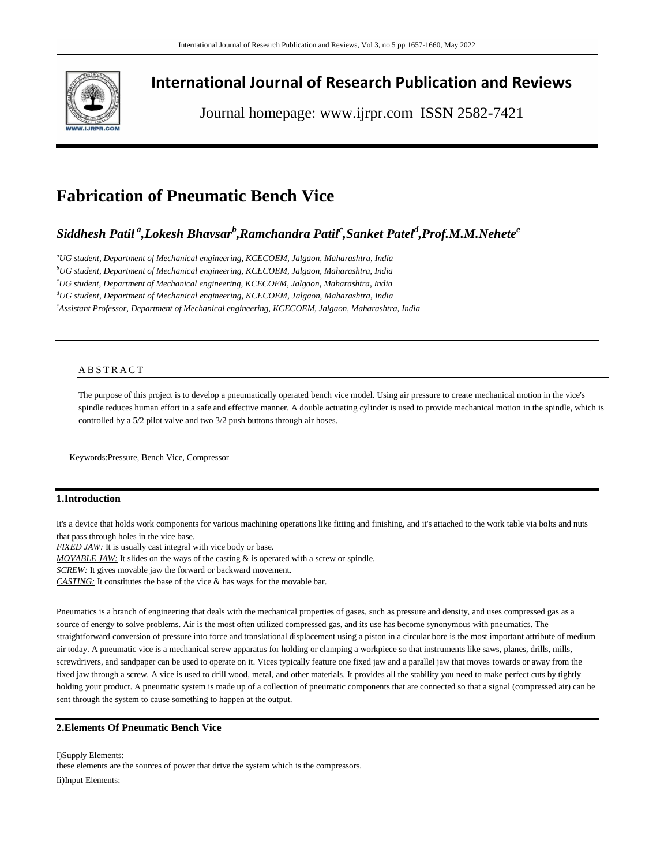

## **International Journal of Research Publication and Reviews**

Journal homepage: www.ijrpr.com ISSN 2582-7421

# **Fabrication of Pneumatic Bench Vice**

## *Siddhesh Patil <sup>a</sup> ,Lokesh Bhavsar<sup>b</sup> ,Ramchandra Patil<sup>c</sup> ,Sanket Patel<sup>d</sup> ,Prof.M.M.Nehete<sup>e</sup>*

*<sup>a</sup>UG student, Department of Mechanical engineering, KCECOEM, Jalgaon, Maharashtra, India <sup>b</sup>UG student, Department of Mechanical engineering, KCECOEM, Jalgaon, Maharashtra, India <sup>c</sup>UG student, Department of Mechanical engineering, KCECOEM, Jalgaon, Maharashtra, India <sup>d</sup>UG student, Department of Mechanical engineering, KCECOEM, Jalgaon, Maharashtra, India <sup>e</sup>Assistant Professor, Department of Mechanical engineering, KCECOEM, Jalgaon, Maharashtra, India*

## **ABSTRACT**

The purpose of this project is to develop a pneumatically operated bench vice model. Using air pressure to create mechanical motion in the vice's spindle reduces human effort in a safe and effective manner. A double actuating cylinder is used to provide mechanical motion in the spindle, which is controlled by a 5/2 pilot valve and two 3/2 push buttons through air hoses.

Keywords:Pressure, Bench Vice, Compressor

## **1.Introduction**

It's a device that holds work components for various machining operations like fitting and finishing, and it's attached to the work table via bolts and nuts that pass through holes in the vice base.

*FIXED JAW:* It is usually cast integral with vice body or base.

*MOVABLE JAW:* It slides on the ways of the casting & is operated with a screw or spindle.

**SCREW:** It gives movable jaw the forward or backward movement.

*CASTING:* It constitutes the base of the vice & has ways for the movable bar.

Pneumatics is a branch of engineering that deals with the mechanical properties of gases, such as pressure and density, and uses compressed gas as a source of energy to solve problems. Air is the most often utilized compressed gas, and its use has become synonymous with pneumatics. The straightforward conversion of pressure into force and translational displacement using a piston in a circular bore is the most important attribute of medium air today. A pneumatic vice is a mechanical screw apparatus for holding or clamping a workpiece so that instruments like saws, planes, drills, mills, screwdrivers, and sandpaper can be used to operate on it. Vices typically feature one fixed jaw and a parallel jaw that moves towards or away from the fixed jaw through a screw. A vice is used to drill wood, metal, and other materials. It provides all the stability you need to make perfect cuts by tightly holding your product. A pneumatic system is made up of a collection of pneumatic components that are connected so that a signal (compressed air) can be sent through the system to cause something to happen at the output.

## **2.Elements Of Pneumatic Bench Vice**

I)Supply Elements: these elements are the sources of power that drive the system which is the compressors. Ii)Input Elements: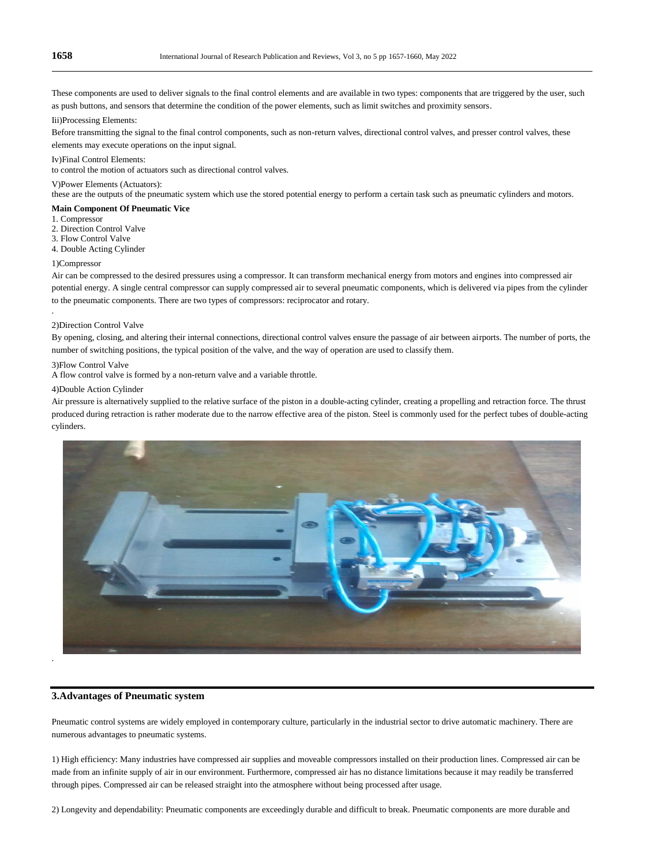These components are used to deliver signals to the final control elements and are available in two types: components that are triggered by the user, such as push buttons, and sensors that determine the condition of the power elements, such as limit switches and proximity sensors.

Iii)Processing Elements:

Before transmitting the signal to the final control components, such as non-return valves, directional control valves, and presser control valves, these elements may execute operations on the input signal.

#### Iv)Final Control Elements:

to control the motion of actuators such as directional control valves.

#### V)Power Elements (Actuators):

these are the outputs of the pneumatic system which use the stored potential energy to perform a certain task such as pneumatic cylinders and motors.

#### **Main Component Of Pneumatic Vice**

1. Compressor

2. Direction Control Valve

3. Flow Control Valve

4. Double Acting Cylinder

### 1)Compressor

.

Air can be compressed to the desired pressures using a compressor. It can transform mechanical energy from motors and engines into compressed air potential energy. A single central compressor can supply compressed air to several pneumatic components, which is delivered via pipes from the cylinder to the pneumatic components. There are two types of compressors: reciprocator and rotary.

#### 2)Direction Control Valve

By opening, closing, and altering their internal connections, directional control valves ensure the passage of air between airports. The number of ports, the number of switching positions, the typical position of the valve, and the way of operation are used to classify them.

#### 3)Flow Control Valve

A flow control valve is formed by a non-return valve and a variable throttle.

#### 4)Double Action Cylinder

Air pressure is alternatively supplied to the relative surface of the piston in a double-acting cylinder, creating a propelling and retraction force. The thrust produced during retraction is rather moderate due to the narrow effective area of the piston. Steel is commonly used for the perfect tubes of double-acting cylinders.



## **3.Advantages of Pneumatic system**

Pneumatic control systems are widely employed in contemporary culture, particularly in the industrial sector to drive automatic machinery. There are numerous advantages to pneumatic systems.

1) High efficiency: Many industries have compressed air supplies and moveable compressors installed on their production lines. Compressed air can be made from an infinite supply of air in our environment. Furthermore, compressed air has no distance limitations because it may readily be transferred through pipes. Compressed air can be released straight into the atmosphere without being processed after usage.

2) Longevity and dependability: Pneumatic components are exceedingly durable and difficult to break. Pneumatic components are more durable and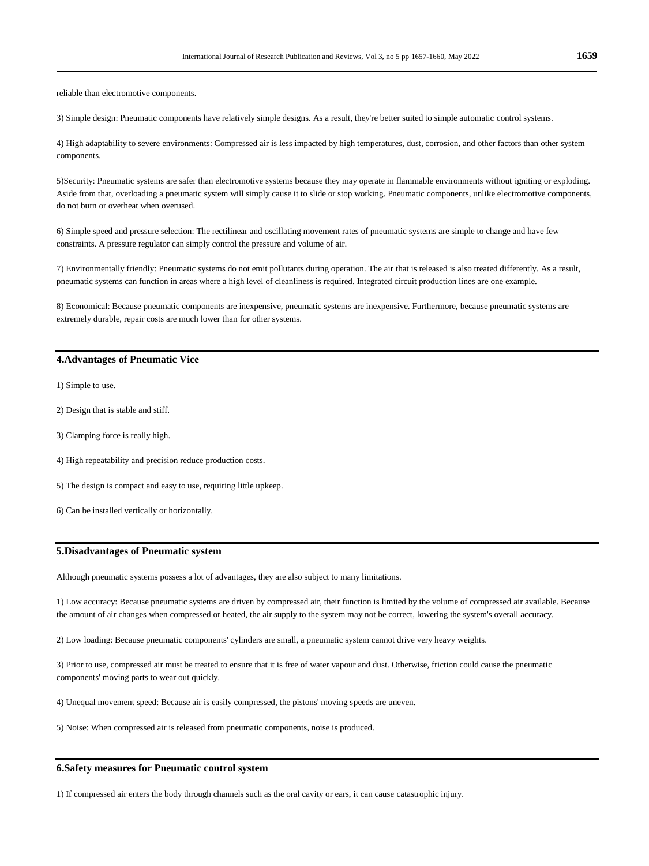reliable than electromotive components.

3) Simple design: Pneumatic components have relatively simple designs. As a result, they're better suited to simple automatic control systems.

4) High adaptability to severe environments: Compressed air is less impacted by high temperatures, dust, corrosion, and other factors than other system components.

5)Security: Pneumatic systems are safer than electromotive systems because they may operate in flammable environments without igniting or exploding. Aside from that, overloading a pneumatic system will simply cause it to slide or stop working. Pneumatic components, unlike electromotive components, do not burn or overheat when overused.

6) Simple speed and pressure selection: The rectilinear and oscillating movement rates of pneumatic systems are simple to change and have few constraints. A pressure regulator can simply control the pressure and volume of air.

7) Environmentally friendly: Pneumatic systems do not emit pollutants during operation. The air that is released is also treated differently. As a result, pneumatic systems can function in areas where a high level of cleanliness is required. Integrated circuit production lines are one example.

8) Economical: Because pneumatic components are inexpensive, pneumatic systems are inexpensive. Furthermore, because pneumatic systems are extremely durable, repair costs are much lower than for other systems.

## **4.Advantages of Pneumatic Vice**

1) Simple to use.

- 2) Design that is stable and stiff.
- 3) Clamping force is really high.
- 4) High repeatability and precision reduce production costs.
- 5) The design is compact and easy to use, requiring little upkeep.
- 6) Can be installed vertically or horizontally.

## **5.Disadvantages of Pneumatic system**

Although pneumatic systems possess a lot of advantages, they are also subject to many limitations.

1) Low accuracy: Because pneumatic systems are driven by compressed air, their function is limited by the volume of compressed air available. Because the amount of air changes when compressed or heated, the air supply to the system may not be correct, lowering the system's overall accuracy.

2) Low loading: Because pneumatic components' cylinders are small, a pneumatic system cannot drive very heavy weights.

3) Prior to use, compressed air must be treated to ensure that it is free of water vapour and dust. Otherwise, friction could cause the pneumatic components' moving parts to wear out quickly.

4) Unequal movement speed: Because air is easily compressed, the pistons' moving speeds are uneven.

5) Noise: When compressed air is released from pneumatic components, noise is produced.

## **6.Safety measures for Pneumatic control system**

1) If compressed air enters the body through channels such as the oral cavity or ears, it can cause catastrophic injury.